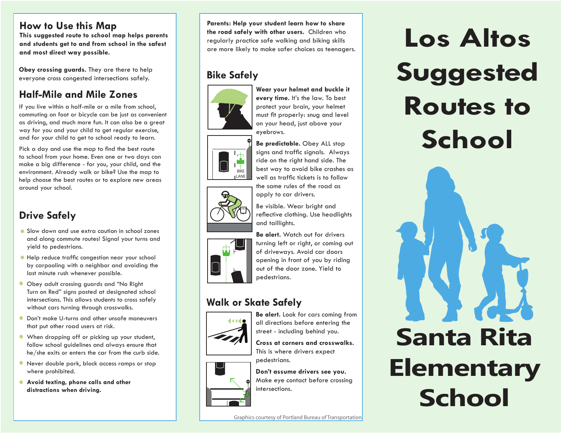### **How to Use this Map**

**This suggested route to school map helps parents and students get to and from school in the safest and most direct way possible.**

**Obey crossing guards.** They are there to help everyone cross congested intersections safely. **Bike Safely**

## **Half-Mile and Mile Zones**

If you live within a half-mile or a mile from school, commuting on foot or bicycle can be just as convenient as driving, and much more fun. It can also be a great way for you and your child to get regular exercise, and for your child to get to school ready to learn.

Pick a day and use the map to find the best route to school from your home. Even one or two days can make a big difference - for you, your child, and the environment. Already walk or bike? Use the map to help choose the best routes or to explore new areas around your school.

## **Drive Safely**

- Slow down and use extra caution in school zones and along commute routes! Signal your turns and yield to pedestrians.
- $\bullet$  Help reduce traffic congestion near your school by carpooling with a neighbor and avoiding the last minute rush whenever possible.
- Obey adult crossing guards and "No Right Turn on Red" signs posted at designated school intersections. This allows students to cross safely without cars turning through crosswalks.
- Don't make U-turns and other unsafe maneuvers that put other road users at risk.
- When dropping off or picking up your student, follow school guidelines and always ensure that he/she exits or enters the car from the curb side.
- Never double park, block access ramps or stop where prohibited.
- **Avoid texting, phone calls and other distractions when driving.**

**Parents: Help your student learn how to share the road safely with other users.** Children who regularly practice safe walking and biking skills are more likely to make safer choices as teenagers.





well as traffic tickets is to follow the same rules of the road as apply to car drivers. Be visible. Wear bright and reflective clothing. Use headlights and taillights.



**Be alert.** Watch out for drivers turning left or right, or coming out of driveways. Avoid car doors opening in front of you by riding out of the door zone. Yield to pedestrians.

**Be predictable.** Obey ALL stop signs and traffic signals. Always ride on the right hand side. The best way to avoid bike crashes as

## **Walk or Skate Safely**



**Be alert.** Look for cars coming from all directions before entering the street - including behind you.

**Cross at corners and crosswalks.** This is where drivers expect pedestrians.



**Don't assume drivers see you.**  Make eye contact before crossing intersections.

# **Los Altos Suggested Routes to School**